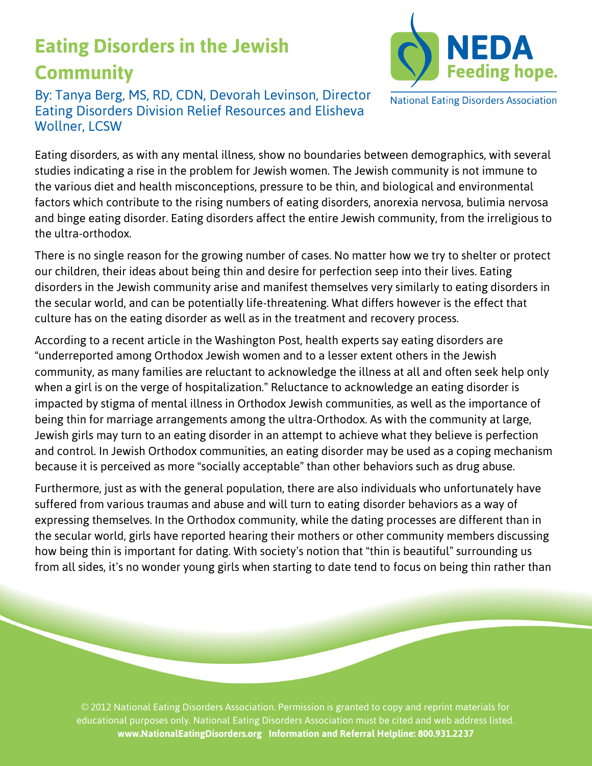© 2012 National Eating Disorders Association. Permission is granted to copy and reprint materials for educational purposes only. National Eating Disorders Association must be cited and web address listed. **www.NationalEatingDisorders.org Information and Referral Helpline: 800.931.2237**

## **Eating Disorders in the Jewish Community**

By: Tanya Berg, MS, RD, CDN, Devorah Levinson, Director Eating Disorders Division Relief Resources and Elisheva Wollner, LCSW

Eating disorders, as with any mental illness, show no boundaries between demographics, with several studies indicating a rise in the problem for Jewish women. The Jewish community is not immune to the various diet and health misconceptions, pressure to be thin, and biological and environmental factors which contribute to the rising numbers of eating disorders, anorexia nervosa, bulimia nervosa and binge eating disorder. Eating disorders affect the entire Jewish community, from the irreligious to the ultra-orthodox.

There is no single reason for the growing number of cases. No matter how we try to shelter or protect our children, their ideas about being thin and desire for perfection seep into their lives. Eating disorders in the Jewish community arise and manifest themselves very similarly to eating disorders in the secular world, and can be potentially life-threatening. What differs however is the effect that culture has on the eating disorder as well as in the treatment and recovery process.

According to a recent article in the Washington Post, health experts say eating disorders are "underreported among Orthodox Jewish women and to a lesser extent others in the Jewish community, as many families are reluctant to acknowledge the illness at all and often seek help only when a girl is on the verge of hospitalization." Reluctance to acknowledge an eating disorder is impacted by stigma of mental illness in Orthodox Jewish communities, as well as the importance of being thin for marriage arrangements among the ultra-Orthodox. As with the community at large, Jewish girls may turn to an eating disorder in an attempt to achieve what they believe is perfection and control. In Jewish Orthodox communities, an eating disorder may be used as a coping mechanism because it is perceived as more "socially acceptable" than other behaviors such as drug abuse.

Furthermore, just as with the general population, there are also individuals who unfortunately have suffered from various traumas and abuse and will turn to eating disorder behaviors as a way of expressing themselves. In the Orthodox community, while the dating processes are different than in the secular world, girls have reported hearing their mothers or other community members discussing how being thin is important for dating. With society's notion that "thin is beautiful" surrounding us from all sides, it's no wonder young girls when starting to date tend to focus on being thin rather than



**National Eating Disorders Association**